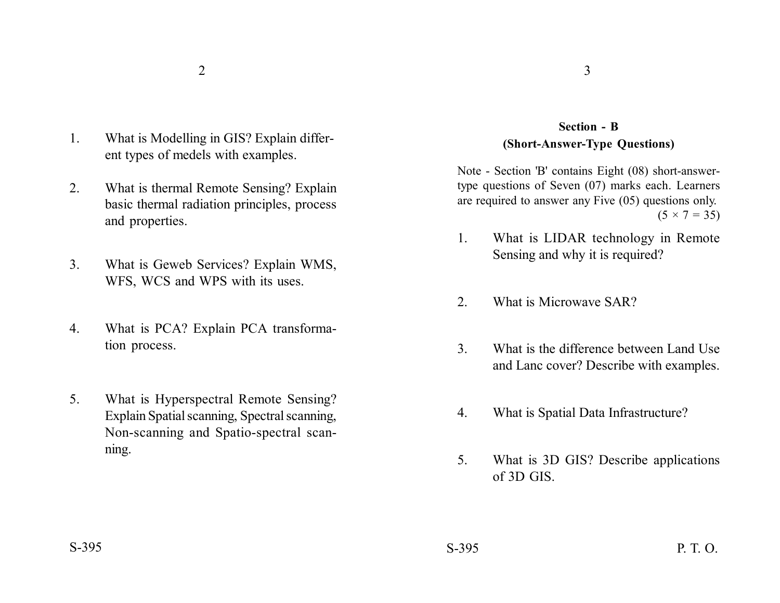- 1. What is Modelling in GIS? Explain different types of medels with examples.
- 2. What is thermal Remote Sensing? Explain basic thermal radiation principles, process and properties.
- 3. What is Geweb Services? Explain WMS, WFS, WCS and WPS with its uses.
- 4. What is PCA? Explain PCA transformation process.
- 5. What is Hyperspectral Remote Sensing? Explain Spatial scanning, Spectral scanning, Non-scanning and Spatio-spectral scanning.

## **Section - B (Short-Answer-Type Questions)**

Note - Section 'B' contains Eight (08) short-answertype questions of Seven (07) marks each. Learners are required to answer any Five (05) questions only.  $(5 \times 7 = 35)$ 

- 1. What is LIDAR technology in Remote Sensing and why it is required?
- 2. What is Microwave SAR?
- 3. What is the difference between Land Use and Lanc cover? Describe with examples.
- 4. What is Spatial Data Infrastructure?
- 5. What is 3D GIS? Describe applications of 3D GIS.